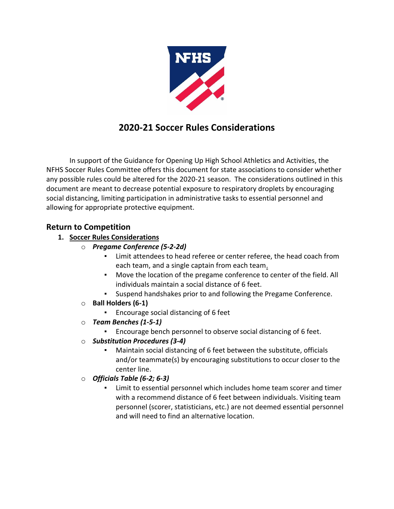

# **2020-21 Soccer Rules Considerations**

In support of the Guidance for Opening Up High School Athletics and Activities, the NFHS Soccer Rules Committee offers this document for state associations to consider whether any possible rules could be altered for the 2020-21 season. The considerations outlined in this document are meant to decrease potential exposure to respiratory droplets by encouraging social distancing, limiting participation in administrative tasks to essential personnel and allowing for appropriate protective equipment.

# **Return to Competition**

# **1. Soccer Rules Considerations**

- o *Pregame Conference (5-2-2d)* 
	- Limit attendees to head referee or center referee, the head coach from each team, and a single captain from each team.
	- Move the location of the pregame conference to center of the field. All individuals maintain a social distance of 6 feet.
	- Suspend handshakes prior to and following the Pregame Conference.
- o **Ball Holders (6-1)**
	- Encourage social distancing of 6 feet
- o *Team Benches (1-5-1)*
	- Encourage bench personnel to observe social distancing of 6 feet.
- o *Substitution Procedures (3-4)*
	- Maintain social distancing of 6 feet between the substitute, officials and/or teammate(s) by encouraging substitutions to occur closer to the center line.
- o *Officials Table (6-2; 6-3)*
	- Limit to essential personnel which includes home team scorer and timer with a recommend distance of 6 feet between individuals. Visiting team personnel (scorer, statisticians, etc.) are not deemed essential personnel and will need to find an alternative location.